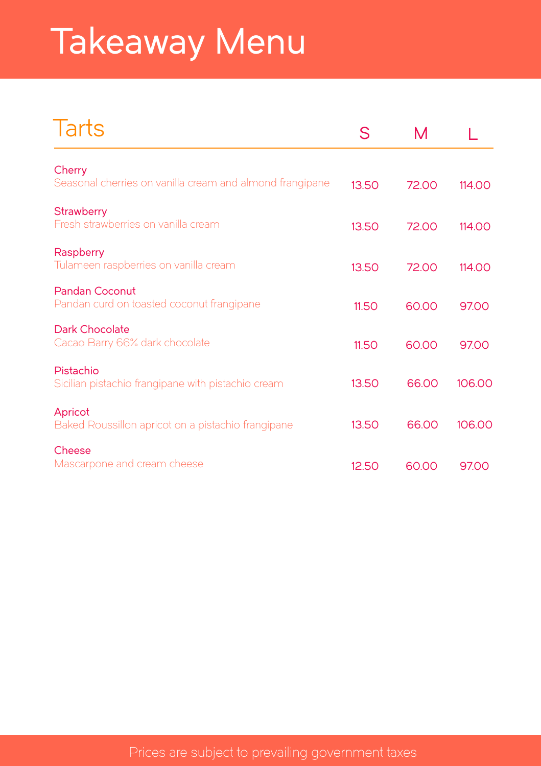# Takeaway Menu

| Tarts                                                              | S     | M     |        |
|--------------------------------------------------------------------|-------|-------|--------|
| Cherry<br>Seasonal cherries on vanilla cream and almond frangipane | 13.50 | 72.00 | 114.00 |
| <b>Strawberry</b><br>Fresh strawberries on vanilla cream           | 13.50 | 72.00 | 114.00 |
| Raspberry<br>Tulameen raspberries on vanilla cream                 | 13.50 | 72.00 | 114.00 |
| Pandan Coconut<br>Pandan curd on toasted coconut frangipane        | 11.50 | 60.00 | 97.00  |
| Dark Chocolate<br>Cacao Barry 66% dark chocolate                   | 11.50 | 60.00 | 97.00  |
| Pistachio<br>Sicilian pistachio frangipane with pistachio cream    | 13.50 | 66.00 | 106.00 |
| Apricot<br>Baked Roussillon apricot on a pistachio frangipane      | 13.50 | 66.00 | 106.00 |
| Cheese<br>Mascarpone and cream cheese                              | 12.50 | 60.00 | 97.00  |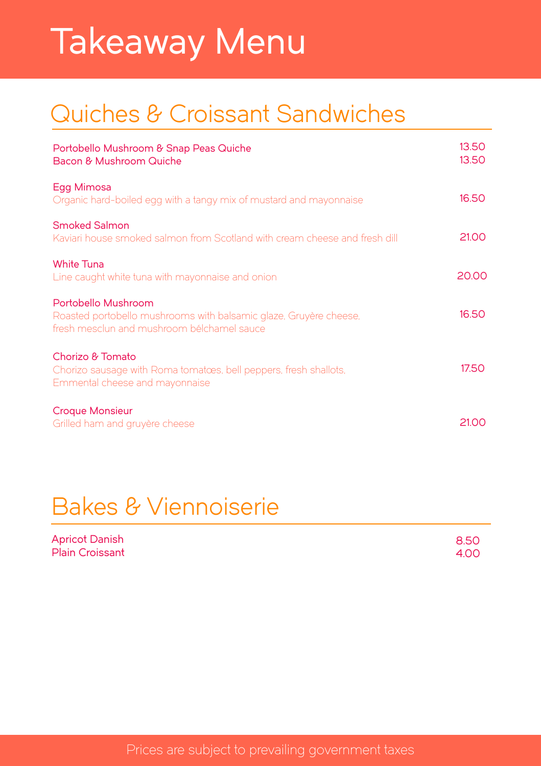## Takeaway Menu

### Quiches & Croissant Sandwiches

| Portobello Mushroom & Snap Peas Quiche<br>Bacon & Mushroom Quiche                                                                      | 13.50<br>13.50 |
|----------------------------------------------------------------------------------------------------------------------------------------|----------------|
| Egg Mimosa<br>Organic hard-boiled egg with a tangy mix of mustard and mayonnaise                                                       | 16.50          |
| <b>Smoked Salmon</b><br>Kaviari house smoked salmon from Scotland with cream cheese and fresh dill                                     | 21.00          |
| <b>White Tuna</b><br>Line caught white tuna with mayonnaise and onion                                                                  | 20.00          |
| Portobello Mushroom<br>Roasted portobello mushrooms with balsamic glaze, Gruyère cheese,<br>fresh mesclun and mushroom bélchamel sauce | 16.50          |
| Chorizo & Tomato<br>Chorizo sausage with Roma tomatoes, bell peppers, fresh shallots,<br>Emmental cheese and mayonnaise                | 17.50          |
| <b>Croque Monsieur</b><br>Grilled ham and gruyère cheese                                                                               | 2100           |

### Bakes & Viennoiserie

| Apricot Danish         | 8.50 |
|------------------------|------|
| <b>Plain Croissant</b> | 4.00 |